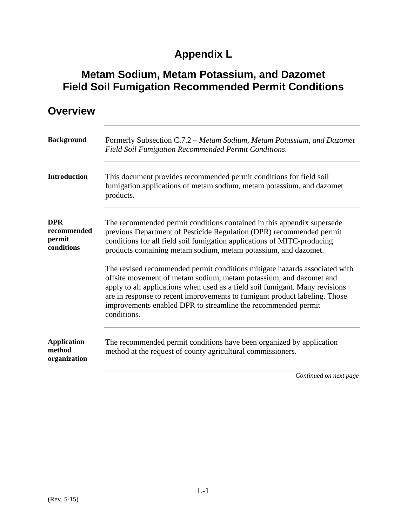## **Appendix L**

## **Metam Sodium, Metam Potassium, and Dazomet Field Soil Fumigation Recommended Permit Conditions**

| <b>Overview</b>                                   |                                                                                                                                                                                                                                                                                                                                                                                                |
|---------------------------------------------------|------------------------------------------------------------------------------------------------------------------------------------------------------------------------------------------------------------------------------------------------------------------------------------------------------------------------------------------------------------------------------------------------|
| <b>Background</b>                                 | Formerly Subsection C.7.2 – Metam Sodium, Metam Potassium, and Dazomet<br><b>Field Soil Fumigation Recommended Permit Conditions.</b>                                                                                                                                                                                                                                                          |
| <b>Introduction</b>                               | This document provides recommended permit conditions for field soil<br>fumigation applications of metam sodium, metam potassium, and dazomet<br>products.                                                                                                                                                                                                                                      |
| <b>DPR</b><br>recommended<br>permit<br>conditions | The recommended permit conditions contained in this appendix supersede<br>previous Department of Pesticide Regulation (DPR) recommended permit<br>conditions for all field soil fumigation applications of MITC-producing<br>products containing metam sodium, metam potassium, and dazomet.                                                                                                   |
|                                                   | The revised recommended permit conditions mitigate hazards associated with<br>offsite movement of metam sodium, metam potassium, and dazomet and<br>apply to all applications when used as a field soil fumigant. Many revisions<br>are in response to recent improvements to fumigant product labeling. Those<br>improvements enabled DPR to streamline the recommended permit<br>conditions. |
| <b>Application</b><br>method<br>organization      | The recommended permit conditions have been organized by application<br>method at the request of county agricultural commissioners.                                                                                                                                                                                                                                                            |
|                                                   | Continued on next page                                                                                                                                                                                                                                                                                                                                                                         |